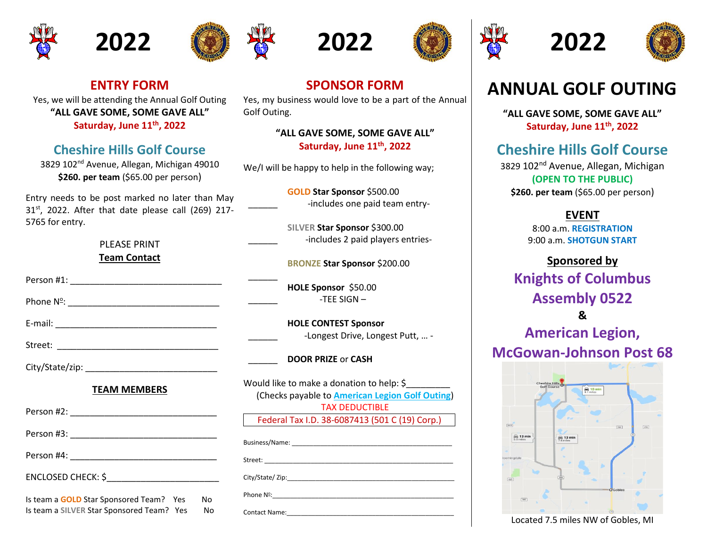







**2022**

Yes, we will be attending the Annual Golf Outing **"ALL GAVE SOME, SOME GAVE ALL" Saturday, June 11 th, 2022**

# **Cheshire Hills Golf Course**

3829 102<sup>nd</sup> Avenue, Allegan, Michigan 49010 **\$260. per team** (\$65.00 per person)

Entry needs to be post marked no later than May  $31<sup>st</sup>$ , 2022. After that date please call (269) 217-5765 for entry.

### PLEASE PRINT **Team Contact**

Person #1:

Phone N o : \_\_\_\_\_\_\_\_\_\_\_\_\_\_\_\_\_\_\_\_\_\_\_\_\_\_\_\_\_\_\_

E-mail: \_\_\_\_\_\_\_\_\_\_\_\_\_\_\_\_\_\_\_\_\_\_\_\_\_\_\_\_\_\_\_\_\_

Street:

City/State/zip:

### **TEAM MEMBERS**

| Person #3: |  |  |  |
|------------|--|--|--|
|            |  |  |  |

| Person #4: |  |  |  |  |
|------------|--|--|--|--|
|            |  |  |  |  |

 $ENCLOSED$   $CHECK:$   $\zeta$ 

Is team a **GOLD** Star Sponsored Team? Yes No Is team a SILVER Star Sponsored Team? Yes No





# **SPONSOR FORM**

Yes, my business would love to be a part of the Annual Golf Outing.

# **"ALL GAVE SOME, SOME GAVE ALL" Saturday, June 11 th, 2022**

We/I will be happy to help in the following way;

 $\overline{\phantom{a}}$ 

 $\overline{\phantom{a}}$ 

 $\overline{\phantom{a}}$ 

 $\overline{\phantom{a}}$ 

 $\overline{\phantom{a}}$ 

**GOLD Star Sponsor** \$500.00 -includes one paid team entry-

**SILVER Star Sponsor** \$300.00 -includes 2 paid players entries-

**BRONZE Star Sponsor** \$200.00

**HOLE Sponsor** \$50.00 -TEE SIGN –

**HOLE CONTEST Sponsor** -Longest Drive, Longest Putt, … -

### \_\_\_\_\_\_ **DOOR PRIZE** or **CASH**

Would like to make a donation to help: \$\_\_\_\_\_\_\_\_\_ (Checks payable to **American Legion Golf Outing**) TAX DEDUCTIBLE

Federal Tax I.D. 38-6087413 (501 C (19) Corp.)

| Contact Name: The Contact Name: |  |
|---------------------------------|--|





# **ANNUAL GOLF OUTING**

**"ALL GAVE SOME, SOME GAVE ALL" Saturday, June 11 th, 2022**

# **Cheshire Hills Golf Course**

3829 102<sup>nd</sup> Avenue, Allegan, Michigan **(OPEN TO THE PUBLIC) \$260. per team** (\$65.00 per person)

> **EVENT** 8:00 a.m. **REGISTRATION** 9:00 a.m. **SHOTGUN START**

# **Sponsored by Knights of Columbus Assembly 0522 &**

# **American Legion, McGowan-Johnson Post 68**



Located 7.5 miles NW of Gobles, MI